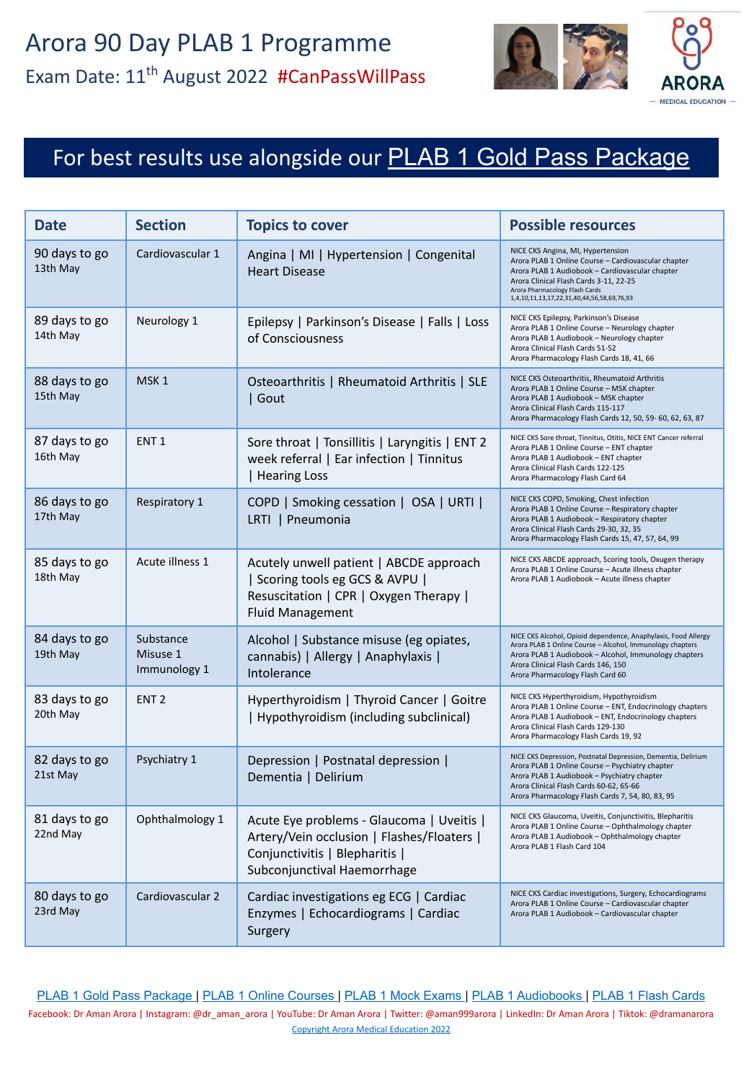

# For best results use alongside our [PLAB 1 Gold Pass Package](https://aroramedicaleducation.co.uk/plab-1-gold-pass-package/)

| <b>Date</b>               | <b>Section</b>                        | <b>Topics to cover</b>                                                                                                                                   | <b>Possible resources</b>                                                                                                                                                                                                                                             |
|---------------------------|---------------------------------------|----------------------------------------------------------------------------------------------------------------------------------------------------------|-----------------------------------------------------------------------------------------------------------------------------------------------------------------------------------------------------------------------------------------------------------------------|
| 90 days to go<br>13th May | Cardiovascular 1                      | Angina   MI   Hypertension   Congenital<br><b>Heart Disease</b>                                                                                          | NICE CKS Angina, MI, Hypertension<br>Arora PLAB 1 Online Course - Cardiovascular chapter<br>Arora PLAB 1 Audiobook - Cardiovascular chapter<br>Arora Clinical Flash Cards 3-11, 22-25<br>Arora Pharmacology Flash Cards<br>1,4,10,11,13,17,22,31,40,44,56,58,69,76,93 |
| 89 days to go<br>14th May | Neurology 1                           | Epilepsy   Parkinson's Disease   Falls   Loss<br>of Consciousness                                                                                        | NICE CKS Epilepsy, Parkinson's Disease<br>Arora PLAB 1 Online Course - Neurology chapter<br>Arora PLAB 1 Audiobook - Neurology chapter<br>Arora Clinical Flash Cards 51-52<br>Arora Pharmacology Flash Cards 18, 41, 66                                               |
| 88 days to go<br>15th May | MSK <sub>1</sub>                      | Osteoarthritis   Rheumatoid Arthritis   SLE<br>  Gout                                                                                                    | NICE CKS Osteoarthritis, Rheumatoid Arthritis<br>Arora PLAB 1 Online Course - MSK chapter<br>Arora PLAB 1 Audiobook - MSK chapter<br>Arora Clinical Flash Cards 115-117<br>Arora Pharmacology Flash Cards 12, 50, 59- 60, 62, 63, 87                                  |
| 87 days to go<br>16th May | ENT <sub>1</sub>                      | Sore throat   Tonsillitis   Laryngitis   ENT 2<br>week referral   Ear infection   Tinnitus<br>  Hearing Loss                                             | NICE CKS Sore throat, Tinnitus, Otitis, NICE ENT Cancer referral<br>Arora PLAB 1 Online Course - ENT chapter<br>Arora PLAB 1 Audiobook - ENT chapter<br>Arora Clinical Flash Cards 122-125<br>Arora Pharmacology Flash Card 64                                        |
| 86 days to go<br>17th May | Respiratory 1                         | COPD   Smoking cessation   OSA   URTI  <br>LRTI   Pneumonia                                                                                              | NICE CKS COPD, Smoking, Chest infection<br>Arora PLAB 1 Online Course - Respiratory chapter<br>Arora PLAB 1 Audiobook - Respiratory chapter<br>Arora Clinical Flash Cards 29-30, 32, 35<br>Arora Pharmacology Flash Cards 15, 47, 57, 64, 99                          |
| 85 days to go<br>18th May | Acute illness 1                       | Acutely unwell patient   ABCDE approach<br>  Scoring tools eg GCS & AVPU  <br>Resuscitation   CPR   Oxygen Therapy  <br><b>Fluid Management</b>          | NICE CKS ABCDE approach, Scoring tools, Oxugen therapy<br>Arora PLAB 1 Online Course - Acute illness chapter<br>Arora PLAB 1 Audiobook - Acute illness chapter                                                                                                        |
| 84 days to go<br>19th May | Substance<br>Misuse 1<br>Immunology 1 | Alcohol   Substance misuse (eg opiates,<br>cannabis)   Allergy   Anaphylaxis  <br>Intolerance                                                            | NICE CKS Alcohol, Opioid dependence, Anaphylaxis, Food Allergy<br>Arora PLAB 1 Online Course - Alcohol, Immunology chapters<br>Arora PLAB 1 Audiobook - Alcohol, Immunology chapters<br>Arora Clinical Flash Cards 146, 150<br>Arora Pharmacology Flash Card 60       |
| 83 days to go<br>20th May | ENT <sub>2</sub>                      | Hyperthyroidism   Thyroid Cancer   Goitre<br>  Hypothyroidism (including subclinical)                                                                    | NICE CKS Hyperthyroidism, Hypothyroidism<br>Arora PLAB 1 Online Course - ENT, Endocrinology chapters<br>Arora PLAB 1 Audiobook - ENT, Endocrinology chapters<br>Arora Clinical Flash Cards 129-130<br>Arora Pharmacology Flash Cards 19, 92                           |
| 82 days to go<br>21st May | Psychiatry 1                          | Depression   Postnatal depression  <br>Dementia   Delirium                                                                                               | NICE CKS Depression, Postnatal Depression, Dementia, Delirium<br>Arora PLAB 1 Online Course - Psychiatry chapter<br>Arora PLAB 1 Audiobook - Psychiatry chapter<br>Arora Clinical Flash Cards 60-62, 65-66<br>Arora Pharmacology Flash Cards 7, 54, 80, 83, 95        |
| 81 days to go<br>22nd May | Ophthalmology 1                       | Acute Eye problems - Glaucoma   Uveitis  <br>Artery/Vein occlusion   Flashes/Floaters  <br>Conjunctivitis   Blepharitis  <br>Subconjunctival Haemorrhage | NICE CKS Glaucoma, Uveitis, Conjunctivitis, Blepharitis<br>Arora PLAB 1 Online Course - Ophthalmology chapter<br>Arora PLAB 1 Audiobook - Ophthalmology chapter<br>Arora PLAB 1 Flash Card 104                                                                        |
| 80 days to go<br>23rd May | Cardiovascular 2                      | Cardiac investigations eg ECG   Cardiac<br>Enzymes   Echocardiograms   Cardiac<br>Surgery                                                                | NICE CKS Cardiac investigations, Surgery, Echocardiograms<br>Arora PLAB 1 Online Course - Cardiovascular chapter<br>Arora PLAB 1 Audiobook - Cardiovascular chapter                                                                                                   |

[PLAB 1 Gold Pass Package](https://aroramedicaleducation.co.uk/plab-1-gold-pass-package/) | [PLAB 1 Online Courses](https://aroramedicaleducation.co.uk/plab-1-online-course/) | [PLAB 1 Mock Exams](https://aroramedicaleducation.co.uk/mock-exam/plab1-mock-exams/) | [PLAB 1 Audiobooks](https://aroramedicaleducation.co.uk/plab-1-audiobook/) | [PLAB 1 Flash Cards](https://aroramedicaleducation.co.uk/arora-medical-flash-cards/)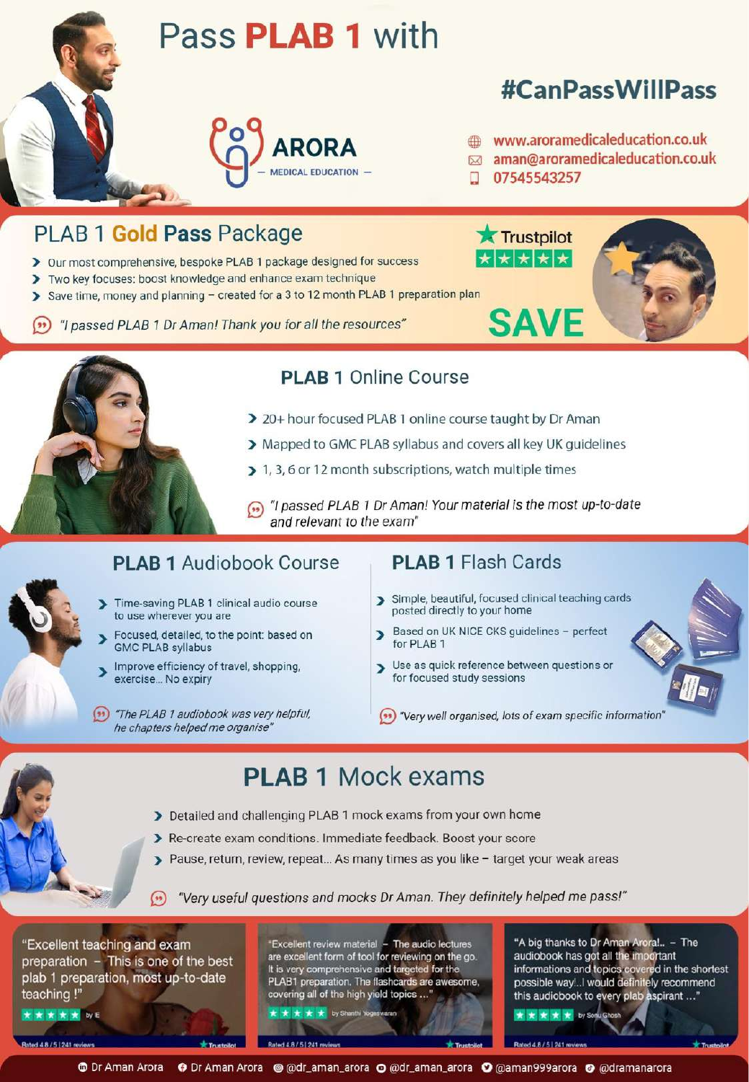



### **PLAB 1 Online Course**

- > 20+ hour focused PLAB 1 online course taught by Dr Aman
- > Mapped to GMC PLAB syllabus and covers all key UK quidelines
- > 1, 3, 6 or 12 month subscriptions, watch multiple times
- (n) "I passed PLAB 1 Dr Aman! Your material is the most up-to-date and relevant to the exam"

#### **PLAB 1 Audiobook Course**

- Time-saving PLAB 1 clinical audio course to use wherever you are
- Focused, detailed, to the point: based on **GMC PLAB syllabus**
- Improve efficiency of travel, shopping, exercise... No expiry
- (\*\*) "The PLAB 1 audiobook was very helpful, he chapters helped me organise'

- > Simple, beautiful, focused clinical teaching cards posted directly to your home
- Based on UK NICE CKS guidelines perfect S for PLAB 1
- > Use as quick reference between questions or for focused study sessions
- "Very well organised, lots of exam specific information"

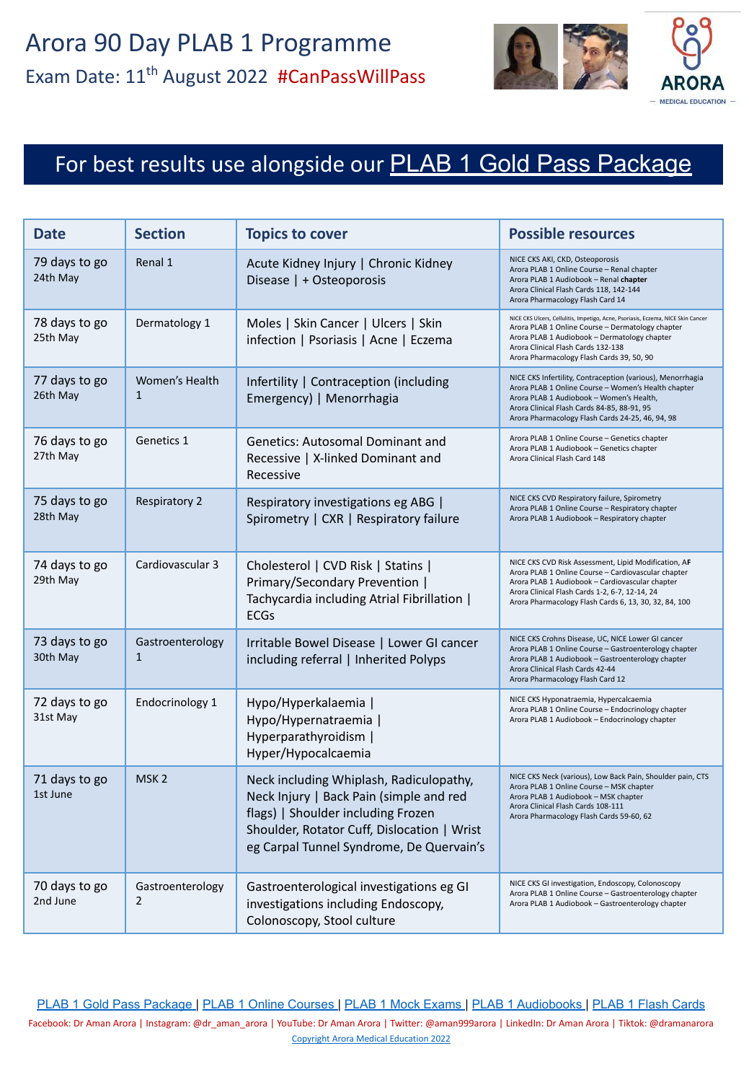

# For best results use alongside our [PLAB 1 Gold Pass Package](https://aroramedicaleducation.co.uk/plab-1-gold-pass-package/)

| Date                      | <b>Section</b>                     | <b>Topics to cover</b>                                                                                                                                                                                              | <b>Possible resources</b>                                                                                                                                                                                                                                                 |
|---------------------------|------------------------------------|---------------------------------------------------------------------------------------------------------------------------------------------------------------------------------------------------------------------|---------------------------------------------------------------------------------------------------------------------------------------------------------------------------------------------------------------------------------------------------------------------------|
| 79 days to go<br>24th May | Renal 1                            | Acute Kidney Injury   Chronic Kidney<br>Disease   + Osteoporosis                                                                                                                                                    | NICE CKS AKI, CKD, Osteoporosis<br>Arora PLAB 1 Online Course - Renal chapter<br>Arora PLAB 1 Audiobook - Renal chapter<br>Arora Clinical Flash Cards 118, 142-144<br>Arora Pharmacology Flash Card 14                                                                    |
| 78 days to go<br>25th May | Dermatology 1                      | Moles   Skin Cancer   Ulcers   Skin<br>infection   Psoriasis   Acne   Eczema                                                                                                                                        | NICE CKS Ulcers, Cellulitis, Impetigo, Acne, Psoriasis, Eczema, NICE Skin Cancer<br>Arora PLAB 1 Online Course - Dermatology chapter<br>Arora PLAB 1 Audiobook - Dermatology chapter<br>Arora Clinical Flash Cards 132-138<br>Arora Pharmacology Flash Cards 39, 50, 90   |
| 77 days to go<br>26th May | Women's Health<br>$\mathbf{1}$     | Infertility   Contraception (including<br>Emergency)   Menorrhagia                                                                                                                                                  | NICE CKS Infertility, Contraception (various), Menorrhagia<br>Arora PLAB 1 Online Course - Women's Health chapter<br>Arora PLAB 1 Audiobook - Women's Health,<br>Arora Clinical Flash Cards 84-85, 88-91, 95<br>Arora Pharmacology Flash Cards 24-25, 46, 94, 98          |
| 76 days to go<br>27th May | Genetics 1                         | <b>Genetics: Autosomal Dominant and</b><br>Recessive   X-linked Dominant and<br>Recessive                                                                                                                           | Arora PLAB 1 Online Course - Genetics chapter<br>Arora PLAB 1 Audiobook - Genetics chapter<br>Arora Clinical Flash Card 148                                                                                                                                               |
| 75 days to go<br>28th May | <b>Respiratory 2</b>               | Respiratory investigations eg ABG  <br>Spirometry   CXR   Respiratory failure                                                                                                                                       | NICE CKS CVD Respiratory failure, Spirometry<br>Arora PLAB 1 Online Course - Respiratory chapter<br>Arora PLAB 1 Audiobook - Respiratory chapter                                                                                                                          |
| 74 days to go<br>29th May | Cardiovascular 3                   | Cholesterol   CVD Risk   Statins  <br>Primary/Secondary Prevention  <br>Tachycardia including Atrial Fibrillation  <br><b>ECGs</b>                                                                                  | NICE CKS CVD Risk Assessment, Lipid Modification, AF<br>Arora PLAB 1 Online Course - Cardiovascular chapter<br>Arora PLAB 1 Audiobook - Cardiovascular chapter<br>Arora Clinical Flash Cards 1-2, 6-7, 12-14, 24<br>Arora Pharmacology Flash Cards 6, 13, 30, 32, 84, 100 |
| 73 days to go<br>30th May | Gastroenterology<br>$\mathbf{1}$   | Irritable Bowel Disease   Lower GI cancer<br>including referral   Inherited Polyps                                                                                                                                  | NICE CKS Crohns Disease, UC, NICE Lower GI cancer<br>Arora PLAB 1 Online Course - Gastroenterology chapter<br>Arora PLAB 1 Audiobook - Gastroenterology chapter<br>Arora Clinical Flash Cards 42-44<br>Arora Pharmacology Flash Card 12                                   |
| 72 days to go<br>31st May | Endocrinology 1                    | Hypo/Hyperkalaemia  <br>Hypo/Hypernatraemia  <br>Hyperparathyroidism  <br>Hyper/Hypocalcaemia                                                                                                                       | NICE CKS Hyponatraemia, Hypercalcaemia<br>Arora PLAB 1 Online Course - Endocrinology chapter<br>Arora PLAB 1 Audiobook - Endocrinology chapter                                                                                                                            |
| 71 days to go<br>1st June | MSK <sub>2</sub>                   | Neck including Whiplash, Radiculopathy,<br>Neck Injury   Back Pain (simple and red<br>flags)   Shoulder including Frozen<br>Shoulder, Rotator Cuff, Dislocation   Wrist<br>eg Carpal Tunnel Syndrome, De Quervain's | NICE CKS Neck (various), Low Back Pain, Shoulder pain, CTS<br>Arora PLAB 1 Online Course - MSK chapter<br>Arora PLAB 1 Audiobook - MSK chapter<br>Arora Clinical Flash Cards 108-111<br>Arora Pharmacology Flash Cards 59-60, 62                                          |
| 70 days to go<br>2nd June | Gastroenterology<br>$\overline{2}$ | Gastroenterological investigations eg GI<br>investigations including Endoscopy,<br>Colonoscopy, Stool culture                                                                                                       | NICE CKS GI investigation, Endoscopy, Colonoscopy<br>Arora PLAB 1 Online Course - Gastroenterology chapter<br>Arora PLAB 1 Audiobook - Gastroenterology chapter                                                                                                           |

[PLAB 1 Gold Pass Package](https://aroramedicaleducation.co.uk/plab-1-gold-pass-package/) | [PLAB 1 Online Courses](https://aroramedicaleducation.co.uk/plab-1-online-course/) | [PLAB 1 Mock Exams](https://aroramedicaleducation.co.uk/mock-exam/plab1-mock-exams/) | [PLAB 1 Audiobooks](https://aroramedicaleducation.co.uk/plab-1-audiobook/) | [PLAB 1 Flash Cards](https://aroramedicaleducation.co.uk/arora-medical-flash-cards/)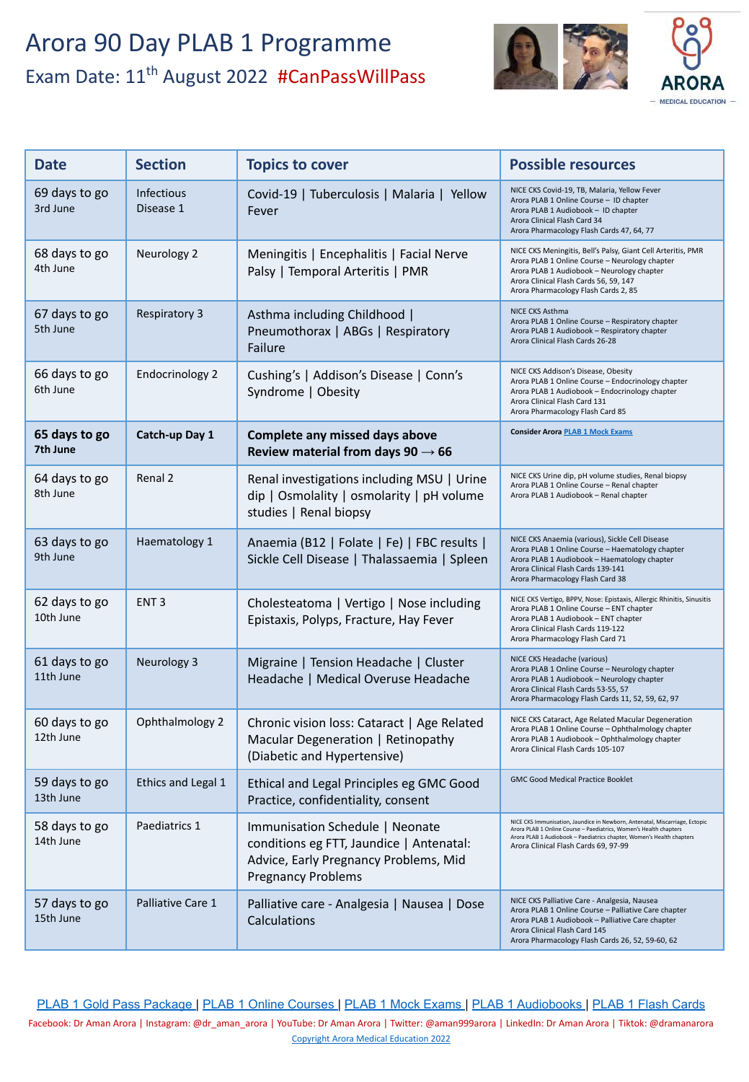

| <b>Date</b>                | <b>Section</b>                 | <b>Topics to cover</b>                                                                                                                            | <b>Possible resources</b>                                                                                                                                                                                                                                         |
|----------------------------|--------------------------------|---------------------------------------------------------------------------------------------------------------------------------------------------|-------------------------------------------------------------------------------------------------------------------------------------------------------------------------------------------------------------------------------------------------------------------|
| 69 days to go<br>3rd June  | <b>Infectious</b><br>Disease 1 | Covid-19   Tuberculosis   Malaria   Yellow<br>Fever                                                                                               | NICE CKS Covid-19, TB, Malaria, Yellow Fever<br>Arora PLAB 1 Online Course - ID chapter<br>Arora PLAB 1 Audiobook - ID chapter<br>Arora Clinical Flash Card 34<br>Arora Pharmacology Flash Cards 47, 64, 77                                                       |
| 68 days to go<br>4th June  | Neurology 2                    | Meningitis   Encephalitis   Facial Nerve<br>Palsy   Temporal Arteritis   PMR                                                                      | NICE CKS Meningitis, Bell's Palsy, Giant Cell Arteritis, PMR<br>Arora PLAB 1 Online Course - Neurology chapter<br>Arora PLAB 1 Audiobook - Neurology chapter<br>Arora Clinical Flash Cards 56, 59, 147<br>Arora Pharmacology Flash Cards 2, 85                    |
| 67 days to go<br>5th June  | <b>Respiratory 3</b>           | Asthma including Childhood  <br>Pneumothorax   ABGs   Respiratory<br>Failure                                                                      | NICE CKS Asthma<br>Arora PLAB 1 Online Course - Respiratory chapter<br>Arora PLAB 1 Audiobook - Respiratory chapter<br>Arora Clinical Flash Cards 26-28                                                                                                           |
| 66 days to go<br>6th June  | Endocrinology 2                | Cushing's   Addison's Disease   Conn's<br>Syndrome   Obesity                                                                                      | NICE CKS Addison's Disease, Obesity<br>Arora PLAB 1 Online Course - Endocrinology chapter<br>Arora PLAB 1 Audiobook - Endocrinology chapter<br>Arora Clinical Flash Card 131<br>Arora Pharmacology Flash Card 85                                                  |
| 65 days to go<br>7th June  | Catch-up Day 1                 | Complete any missed days above<br>Review material from days 90 $\rightarrow$ 66                                                                   | <b>Consider Arora PLAB 1 Mock Exams</b>                                                                                                                                                                                                                           |
| 64 days to go<br>8th June  | Renal 2                        | Renal investigations including MSU   Urine<br>dip   Osmolality   osmolarity   pH volume<br>studies   Renal biopsy                                 | NICE CKS Urine dip, pH volume studies, Renal biopsy<br>Arora PLAB 1 Online Course - Renal chapter<br>Arora PLAB 1 Audiobook - Renal chapter                                                                                                                       |
| 63 days to go<br>9th June  | Haematology 1                  | Anaemia (B12   Folate   Fe)   FBC results  <br>Sickle Cell Disease   Thalassaemia   Spleen                                                        | NICE CKS Anaemia (various), Sickle Cell Disease<br>Arora PLAB 1 Online Course - Haematology chapter<br>Arora PLAB 1 Audiobook - Haematology chapter<br>Arora Clinical Flash Cards 139-141<br>Arora Pharmacology Flash Card 38                                     |
| 62 days to go<br>10th June | ENT <sub>3</sub>               | Cholesteatoma   Vertigo   Nose including<br>Epistaxis, Polyps, Fracture, Hay Fever                                                                | NICE CKS Vertigo, BPPV, Nose: Epistaxis, Allergic Rhinitis, Sinusitis<br>Arora PLAB 1 Online Course - ENT chapter<br>Arora PLAB 1 Audiobook - ENT chapter<br>Arora Clinical Flash Cards 119-122<br>Arora Pharmacology Flash Card 71                               |
| 61 days to go<br>11th June | Neurology 3                    | Migraine   Tension Headache   Cluster<br>Headache   Medical Overuse Headache                                                                      | NICE CKS Headache (various)<br>Arora PLAB 1 Online Course - Neurology chapter<br>Arora PLAB 1 Audiobook - Neurology chapter<br>Arora Clinical Flash Cards 53-55, 57<br>Arora Pharmacology Flash Cards 11, 52, 59, 62, 97                                          |
| 60 days to go<br>12th June | Ophthalmology 2                | Chronic vision loss: Cataract   Age Related<br>Macular Degeneration   Retinopathy<br>(Diabetic and Hypertensive)                                  | NICE CKS Cataract, Age Related Macular Degeneration<br>Arora PLAB 1 Online Course - Ophthalmology chapter<br>Arora PLAB 1 Audiobook - Ophthalmology chapter<br>Arora Clinical Flash Cards 105-107                                                                 |
| 59 days to go<br>13th June | Ethics and Legal 1             | Ethical and Legal Principles eg GMC Good<br>Practice, confidentiality, consent                                                                    | <b>GMC Good Medical Practice Booklet</b>                                                                                                                                                                                                                          |
| 58 days to go<br>14th June | Paediatrics 1                  | Immunisation Schedule   Neonate<br>conditions eg FTT, Jaundice   Antenatal:<br>Advice, Early Pregnancy Problems, Mid<br><b>Pregnancy Problems</b> | NICE CKS Immunisation, Jaundice in Newborn, Antenatal, Miscarriage, Ectopic<br>Arora PLAB 1 Online Course - Paediatrics, Women's Health chapters<br>Arora PLAB 1 Audiobook - Paediatrics chapter, Women's Health chapters<br>Arora Clinical Flash Cards 69, 97-99 |
| 57 days to go<br>15th June | Palliative Care 1              | Palliative care - Analgesia   Nausea   Dose<br>Calculations                                                                                       | NICE CKS Palliative Care - Analgesia, Nausea<br>Arora PLAB 1 Online Course - Palliative Care chapter<br>Arora PLAB 1 Audiobook - Palliative Care chapter<br>Arora Clinical Flash Card 145<br>Arora Pharmacology Flash Cards 26, 52, 59-60, 62                     |

[PLAB 1 Gold Pass Package](https://aroramedicaleducation.co.uk/plab-1-gold-pass-package/) | [PLAB 1 Online Courses](https://aroramedicaleducation.co.uk/plab-1-online-course/) | [PLAB 1 Mock Exams](https://aroramedicaleducation.co.uk/mock-exam/plab1-mock-exams/) | [PLAB 1 Audiobooks](https://aroramedicaleducation.co.uk/plab-1-audiobook/) | [PLAB 1 Flash Cards](https://aroramedicaleducation.co.uk/arora-medical-flash-cards/)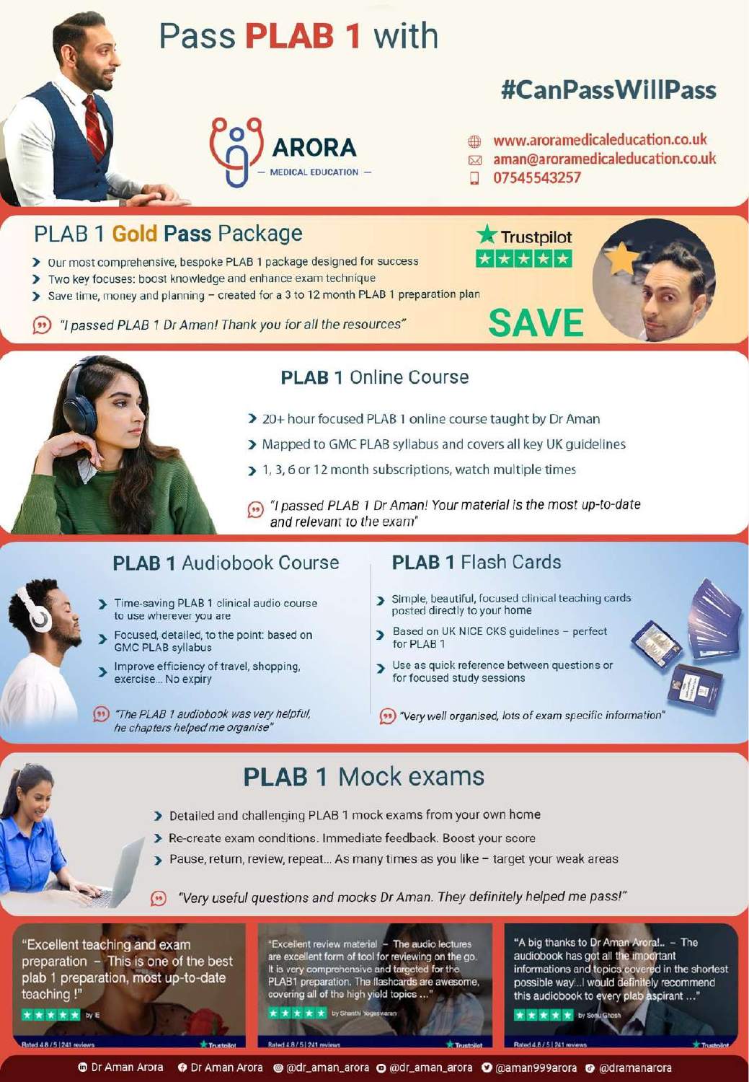



### **PLAB 1 Online Course**

- > 20+ hour focused PLAB 1 online course taught by Dr Aman
- > Mapped to GMC PLAB syllabus and covers all key UK quidelines
- > 1, 3, 6 or 12 month subscriptions, watch multiple times
- (n) "I passed PLAB 1 Dr Aman! Your material is the most up-to-date and relevant to the exam"

#### **PLAB 1 Audiobook Course**

- Time-saving PLAB 1 clinical audio course to use wherever you are
- Focused, detailed, to the point: based on **GMC PLAB syllabus**
- Improve efficiency of travel, shopping, exercise... No expiry
- (\*\*) "The PLAB 1 audiobook was very helpful, he chapters helped me organise'

- > Simple, beautiful, focused clinical teaching cards posted directly to your home
- Based on UK NICE CKS guidelines perfect S for PLAB 1
- > Use as quick reference between questions or for focused study sessions
- "Very well organised, lots of exam specific information"

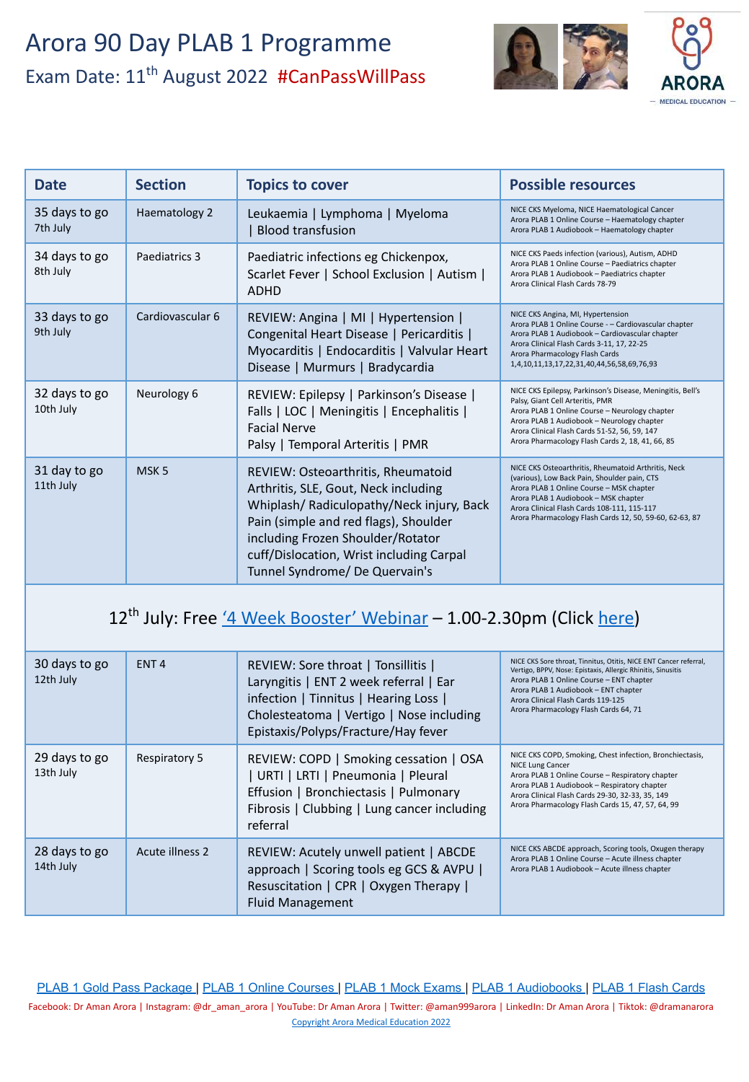

| <b>Date</b>                | <b>Section</b>   | <b>Topics to cover</b>                                                                                                                                                                                                                                                              | <b>Possible resources</b>                                                                                                                                                                                                                                                                           |
|----------------------------|------------------|-------------------------------------------------------------------------------------------------------------------------------------------------------------------------------------------------------------------------------------------------------------------------------------|-----------------------------------------------------------------------------------------------------------------------------------------------------------------------------------------------------------------------------------------------------------------------------------------------------|
| 35 days to go<br>7th July  | Haematology 2    | Leukaemia   Lymphoma   Myeloma<br><b>Blood transfusion</b>                                                                                                                                                                                                                          | NICE CKS Myeloma, NICE Haematological Cancer<br>Arora PLAB 1 Online Course - Haematology chapter<br>Arora PLAB 1 Audiobook - Haematology chapter                                                                                                                                                    |
| 34 days to go<br>8th July  | Paediatrics 3    | Paediatric infections eg Chickenpox,<br>Scarlet Fever   School Exclusion   Autism  <br><b>ADHD</b>                                                                                                                                                                                  | NICE CKS Paeds infection (various), Autism, ADHD<br>Arora PLAB 1 Online Course - Paediatrics chapter<br>Arora PLAB 1 Audiobook - Paediatrics chapter<br>Arora Clinical Flash Cards 78-79                                                                                                            |
| 33 days to go<br>9th July  | Cardiovascular 6 | REVIEW: Angina   MI   Hypertension  <br>Congenital Heart Disease   Pericarditis  <br>Myocarditis   Endocarditis   Valvular Heart<br>Disease   Murmurs   Bradycardia                                                                                                                 | NICE CKS Angina, MI, Hypertension<br>Arora PLAB 1 Online Course - - Cardiovascular chapter<br>Arora PLAB 1 Audiobook - Cardiovascular chapter<br>Arora Clinical Flash Cards 3-11, 17, 22-25<br>Arora Pharmacology Flash Cards<br>1,4,10,11,13,17,22,31,40,44,56,58,69,76,93                         |
| 32 days to go<br>10th July | Neurology 6      | REVIEW: Epilepsy   Parkinson's Disease  <br>Falls   LOC   Meningitis   Encephalitis  <br><b>Facial Nerve</b><br>Palsy   Temporal Arteritis   PMR                                                                                                                                    | NICE CKS Epilepsy, Parkinson's Disease, Meningitis, Bell's<br>Palsy, Giant Cell Arteritis, PMR<br>Arora PLAB 1 Online Course - Neurology chapter<br>Arora PLAB 1 Audiobook - Neurology chapter<br>Arora Clinical Flash Cards 51-52, 56, 59, 147<br>Arora Pharmacology Flash Cards 2, 18, 41, 66, 85 |
| 31 day to go<br>11th July  | MSK <sub>5</sub> | REVIEW: Osteoarthritis, Rheumatoid<br>Arthritis, SLE, Gout, Neck including<br>Whiplash/ Radiculopathy/Neck injury, Back<br>Pain (simple and red flags), Shoulder<br>including Frozen Shoulder/Rotator<br>cuff/Dislocation, Wrist including Carpal<br>Tunnel Syndrome/ De Quervain's | NICE CKS Osteoarthritis, Rheumatoid Arthritis, Neck<br>(various), Low Back Pain, Shoulder pain, CTS<br>Arora PLAB 1 Online Course - MSK chapter<br>Arora PLAB 1 Audiobook - MSK chapter<br>Arora Clinical Flash Cards 108-111, 115-117<br>Arora Pharmacology Flash Cards 12, 50, 59-60, 62-63, 87   |

### 12<sup>th</sup> July: Free ['4 Week Booster' Webinar](https://aroramedicaleducation.co.uk/webinars/) - 1.00-2.30pm (Click [here](https://aroramedicaleducation.co.uk/webinars/))

| 30 days to go<br>12th July | ENT <sub>4</sub>     | REVIEW: Sore throat   Tonsillitis  <br>Laryngitis   ENT 2 week referral   Ear<br>infection   Tinnitus   Hearing Loss  <br>Cholesteatoma   Vertigo   Nose including<br>Epistaxis/Polyps/Fracture/Hay fever | NICE CKS Sore throat, Tinnitus, Otitis, NICE ENT Cancer referral,<br>Vertigo, BPPV, Nose: Epistaxis, Allergic Rhinitis, Sinusitis<br>Arora PLAB 1 Online Course - ENT chapter<br>Arora PLAB 1 Audiobook - ENT chapter<br>Arora Clinical Flash Cards 119-125<br>Arora Pharmacology Flash Cards 64, 71 |
|----------------------------|----------------------|-----------------------------------------------------------------------------------------------------------------------------------------------------------------------------------------------------------|------------------------------------------------------------------------------------------------------------------------------------------------------------------------------------------------------------------------------------------------------------------------------------------------------|
| 29 days to go<br>13th July | <b>Respiratory 5</b> | REVIEW: COPD   Smoking cessation   OSA<br>  URTI   LRTI   Pneumonia   Pleural<br>Effusion   Bronchiectasis   Pulmonary<br>Fibrosis   Clubbing   Lung cancer including<br>referral                         | NICE CKS COPD, Smoking, Chest infection, Bronchiectasis,<br><b>NICE Lung Cancer</b><br>Arora PLAB 1 Online Course - Respiratory chapter<br>Arora PLAB 1 Audiobook - Respiratory chapter<br>Arora Clinical Flash Cards 29-30, 32-33, 35, 149<br>Arora Pharmacology Flash Cards 15, 47, 57, 64, 99     |
| 28 days to go<br>14th July | Acute illness 2      | REVIEW: Acutely unwell patient   ABCDE<br>approach   Scoring tools eg GCS & AVPU  <br>Resuscitation   CPR   Oxygen Therapy  <br>Fluid Management                                                          | NICE CKS ABCDE approach, Scoring tools, Oxugen therapy<br>Arora PLAB 1 Online Course - Acute illness chapter<br>Arora PLAB 1 Audiobook - Acute illness chapter                                                                                                                                       |

[PLAB 1 Gold Pass Package](https://aroramedicaleducation.co.uk/plab-1-gold-pass-package/) | [PLAB 1 Online Courses](https://aroramedicaleducation.co.uk/plab-1-online-course/) | [PLAB 1 Mock Exams](https://aroramedicaleducation.co.uk/mock-exam/plab1-mock-exams/) | [PLAB 1 Audiobooks](https://aroramedicaleducation.co.uk/plab-1-audiobook/) | [PLAB 1 Flash Cards](https://aroramedicaleducation.co.uk/arora-medical-flash-cards/) Facebook: Dr Aman Arora | Instagram: @dr\_aman\_arora | YouTube: Dr Aman Arora | Twitter: @aman999arora | LinkedIn: Dr Aman Arora | Tiktok: @dramanarora [Copyright Arora Medical Education 2022](https://aroramedicaleducation.co.uk/plab-1/)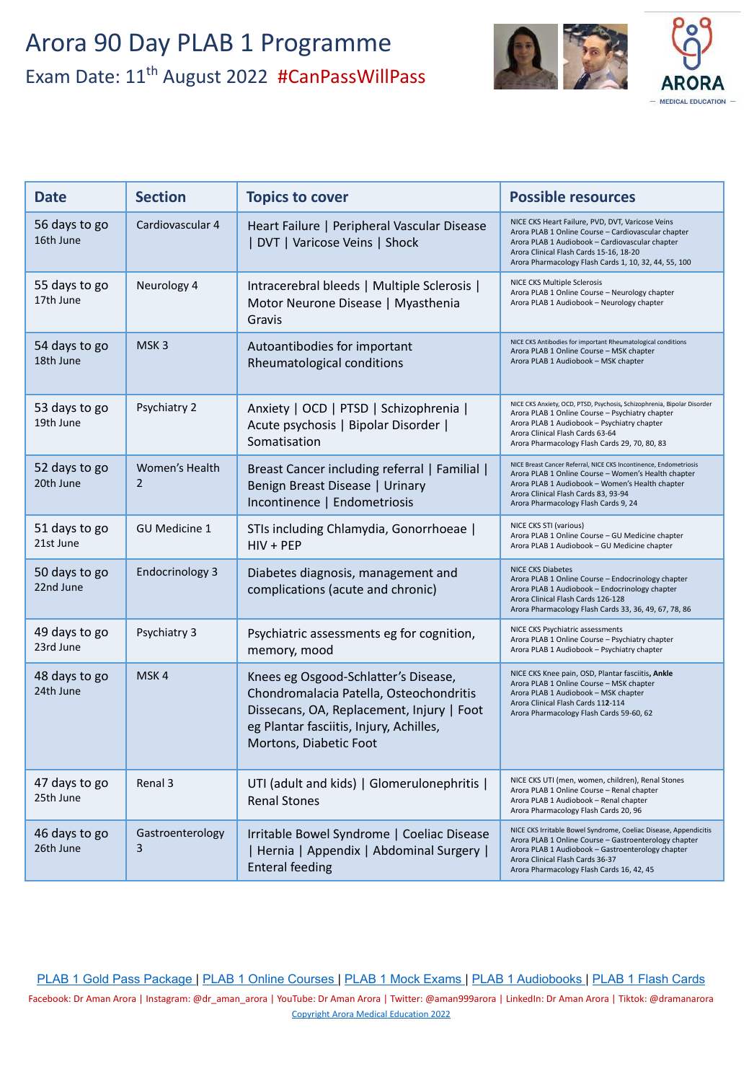

| <b>Date</b>                | <b>Section</b>                   | <b>Topics to cover</b>                                                                                                                                                                            | <b>Possible resources</b>                                                                                                                                                                                                                                       |
|----------------------------|----------------------------------|---------------------------------------------------------------------------------------------------------------------------------------------------------------------------------------------------|-----------------------------------------------------------------------------------------------------------------------------------------------------------------------------------------------------------------------------------------------------------------|
| 56 days to go<br>16th June | Cardiovascular 4                 | Heart Failure   Peripheral Vascular Disease<br>  DVT   Varicose Veins   Shock                                                                                                                     | NICE CKS Heart Failure, PVD, DVT, Varicose Veins<br>Arora PLAB 1 Online Course - Cardiovascular chapter<br>Arora PLAB 1 Audiobook - Cardiovascular chapter<br>Arora Clinical Flash Cards 15-16, 18-20<br>Arora Pharmacology Flash Cards 1, 10, 32, 44, 55, 100  |
| 55 days to go<br>17th June | Neurology 4                      | Intracerebral bleeds   Multiple Sclerosis  <br>Motor Neurone Disease   Myasthenia<br>Gravis                                                                                                       | NICE CKS Multiple Sclerosis<br>Arora PLAB 1 Online Course - Neurology chapter<br>Arora PLAB 1 Audiobook - Neurology chapter                                                                                                                                     |
| 54 days to go<br>18th June | MSK <sub>3</sub>                 | Autoantibodies for important<br>Rheumatological conditions                                                                                                                                        | NICE CKS Antibodies for important Rheumatological conditions<br>Arora PLAB 1 Online Course - MSK chapter<br>Arora PLAB 1 Audiobook - MSK chapter                                                                                                                |
| 53 days to go<br>19th June | Psychiatry 2                     | Anxiety   OCD   PTSD   Schizophrenia  <br>Acute psychosis   Bipolar Disorder  <br>Somatisation                                                                                                    | NICE CKS Anxiety, OCD, PTSD, Psychosis, Schizophrenia, Bipolar Disorder<br>Arora PLAB 1 Online Course - Psychiatry chapter<br>Arora PLAB 1 Audiobook - Psychiatry chapter<br>Arora Clinical Flash Cards 63-64<br>Arora Pharmacology Flash Cards 29, 70, 80, 83  |
| 52 days to go<br>20th June | Women's Health<br>$\overline{2}$ | Breast Cancer including referral   Familial  <br>Benign Breast Disease   Urinary<br>Incontinence   Endometriosis                                                                                  | NICE Breast Cancer Referral, NICE CKS Incontinence, Endometriosis<br>Arora PLAB 1 Online Course - Women's Health chapter<br>Arora PLAB 1 Audiobook - Women's Health chapter<br>Arora Clinical Flash Cards 83, 93-94<br>Arora Pharmacology Flash Cards 9, 24     |
| 51 days to go<br>21st June | <b>GU Medicine 1</b>             | STIs including Chlamydia, Gonorrhoeae  <br>$HIV + PEP$                                                                                                                                            | NICE CKS STI (various)<br>Arora PLAB 1 Online Course - GU Medicine chapter<br>Arora PLAB 1 Audiobook - GU Medicine chapter                                                                                                                                      |
| 50 days to go<br>22nd June | <b>Endocrinology 3</b>           | Diabetes diagnosis, management and<br>complications (acute and chronic)                                                                                                                           | <b>NICE CKS Diabetes</b><br>Arora PLAB 1 Online Course - Endocrinology chapter<br>Arora PLAB 1 Audiobook - Endocrinology chapter<br>Arora Clinical Flash Cards 126-128<br>Arora Pharmacology Flash Cards 33, 36, 49, 67, 78, 86                                 |
| 49 days to go<br>23rd June | Psychiatry 3                     | Psychiatric assessments eg for cognition,<br>memory, mood                                                                                                                                         | NICE CKS Psychiatric assessments<br>Arora PLAB 1 Online Course - Psychiatry chapter<br>Arora PLAB 1 Audiobook - Psychiatry chapter                                                                                                                              |
| 48 days to go<br>24th June | MSK4                             | Knees eg Osgood-Schlatter's Disease,<br>Chondromalacia Patella, Osteochondritis<br>Dissecans, OA, Replacement, Injury   Foot<br>eg Plantar fasciitis, Injury, Achilles,<br>Mortons, Diabetic Foot | NICE CKS Knee pain, OSD, Plantar fasciitis, Ankle<br>Arora PLAB 1 Online Course - MSK chapter<br>Arora PLAB 1 Audiobook - MSK chapter<br>Arora Clinical Flash Cards 112-114<br>Arora Pharmacology Flash Cards 59-60, 62                                         |
| 47 days to go<br>25th June | Renal 3                          | UTI (adult and kids)   Glomerulonephritis  <br><b>Renal Stones</b>                                                                                                                                | NICE CKS UTI (men, women, children), Renal Stones<br>Arora PLAB 1 Online Course - Renal chapter<br>Arora PLAB 1 Audiobook - Renal chapter<br>Arora Pharmacology Flash Cards 20, 96                                                                              |
| 46 days to go<br>26th June | Gastroenterology<br>3            | Irritable Bowel Syndrome   Coeliac Disease<br>  Hernia   Appendix   Abdominal Surgery  <br><b>Enteral feeding</b>                                                                                 | NICE CKS Irritable Bowel Syndrome, Coeliac Disease, Appendicitis<br>Arora PLAB 1 Online Course - Gastroenterology chapter<br>Arora PLAB 1 Audiobook - Gastroenterology chapter<br>Arora Clinical Flash Cards 36-37<br>Arora Pharmacology Flash Cards 16, 42, 45 |

[PLAB 1 Gold Pass Package](https://aroramedicaleducation.co.uk/plab-1-gold-pass-package/) | [PLAB 1 Online Courses](https://aroramedicaleducation.co.uk/plab-1-online-course/) | [PLAB 1 Mock Exams](https://aroramedicaleducation.co.uk/mock-exam/plab1-mock-exams/) | [PLAB 1 Audiobooks](https://aroramedicaleducation.co.uk/plab-1-audiobook/) | [PLAB 1 Flash Cards](https://aroramedicaleducation.co.uk/arora-medical-flash-cards/)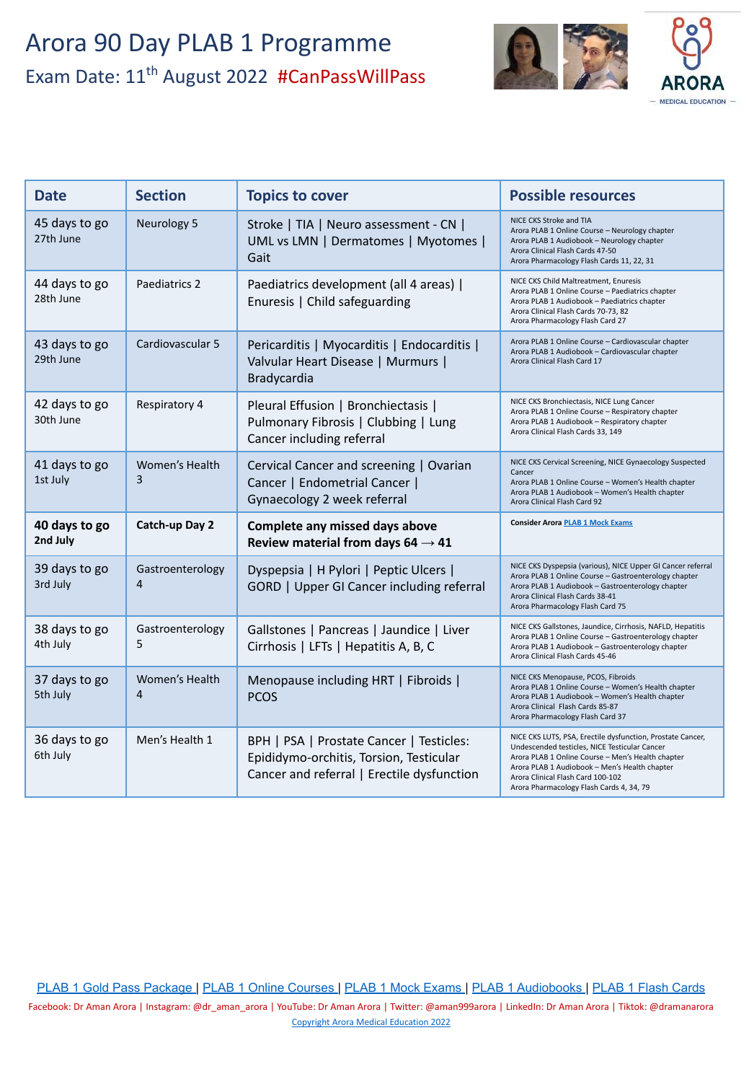

| <b>Date</b>                | <b>Section</b>                   | <b>Topics to cover</b>                                                                                                            | <b>Possible resources</b>                                                                                                                                                                                                                                                                          |
|----------------------------|----------------------------------|-----------------------------------------------------------------------------------------------------------------------------------|----------------------------------------------------------------------------------------------------------------------------------------------------------------------------------------------------------------------------------------------------------------------------------------------------|
| 45 days to go<br>27th June | Neurology 5                      | Stroke   TIA   Neuro assessment - CN  <br>UML vs LMN   Dermatomes   Myotomes  <br>Gait                                            | NICE CKS Stroke and TIA<br>Arora PLAB 1 Online Course - Neurology chapter<br>Arora PLAB 1 Audiobook - Neurology chapter<br>Arora Clinical Flash Cards 47-50<br>Arora Pharmacology Flash Cards 11, 22, 31                                                                                           |
| 44 days to go<br>28th June | Paediatrics 2                    | Paediatrics development (all 4 areas)  <br>Enuresis   Child safeguarding                                                          | NICE CKS Child Maltreatment, Enuresis<br>Arora PLAB 1 Online Course - Paediatrics chapter<br>Arora PLAB 1 Audiobook - Paediatrics chapter<br>Arora Clinical Flash Cards 70-73, 82<br>Arora Pharmacology Flash Card 27                                                                              |
| 43 days to go<br>29th June | Cardiovascular 5                 | Pericarditis   Myocarditis   Endocarditis  <br>Valvular Heart Disease   Murmurs  <br>Bradycardia                                  | Arora PLAB 1 Online Course - Cardiovascular chapter<br>Arora PLAB 1 Audiobook - Cardiovascular chapter<br>Arora Clinical Flash Card 17                                                                                                                                                             |
| 42 days to go<br>30th June | Respiratory 4                    | Pleural Effusion   Bronchiectasis  <br>Pulmonary Fibrosis   Clubbing   Lung<br>Cancer including referral                          | NICE CKS Bronchiectasis, NICE Lung Cancer<br>Arora PLAB 1 Online Course - Respiratory chapter<br>Arora PLAB 1 Audiobook - Respiratory chapter<br>Arora Clinical Flash Cards 33, 149                                                                                                                |
| 41 days to go<br>1st July  | Women's Health<br>3              | Cervical Cancer and screening   Ovarian<br>Cancer   Endometrial Cancer  <br>Gynaecology 2 week referral                           | NICE CKS Cervical Screening, NICE Gynaecology Suspected<br>Cancer<br>Arora PLAB 1 Online Course - Women's Health chapter<br>Arora PLAB 1 Audiobook - Women's Health chapter<br>Arora Clinical Flash Card 92                                                                                        |
| 40 days to go<br>2nd July  | Catch-up Day 2                   | Complete any missed days above<br>Review material from days 64 $\rightarrow$ 41                                                   | <b>Consider Arora PLAB 1 Mock Exams</b>                                                                                                                                                                                                                                                            |
| 39 days to go<br>3rd July  | Gastroenterology<br>4            | Dyspepsia   H Pylori   Peptic Ulcers  <br><b>GORD</b>   Upper GI Cancer including referral                                        | NICE CKS Dyspepsia (various), NICE Upper GI Cancer referral<br>Arora PLAB 1 Online Course - Gastroenterology chapter<br>Arora PLAB 1 Audiobook - Gastroenterology chapter<br>Arora Clinical Flash Cards 38-41<br>Arora Pharmacology Flash Card 75                                                  |
| 38 days to go<br>4th July  | Gastroenterology<br>5            | Gallstones   Pancreas   Jaundice   Liver<br>Cirrhosis   LFTs   Hepatitis A, B, C                                                  | NICE CKS Gallstones, Jaundice, Cirrhosis, NAFLD, Hepatitis<br>Arora PLAB 1 Online Course - Gastroenterology chapter<br>Arora PLAB 1 Audiobook - Gastroenterology chapter<br>Arora Clinical Flash Cards 45-46                                                                                       |
| 37 days to go<br>5th July  | Women's Health<br>$\overline{a}$ | Menopause including HRT   Fibroids  <br><b>PCOS</b>                                                                               | NICE CKS Menopause, PCOS, Fibroids<br>Arora PLAB 1 Online Course - Women's Health chapter<br>Arora PLAB 1 Audiobook - Women's Health chapter<br>Arora Clinical Flash Cards 85-87<br>Arora Pharmacology Flash Card 37                                                                               |
| 36 days to go<br>6th July  | Men's Health 1                   | BPH   PSA   Prostate Cancer   Testicles:<br>Epididymo-orchitis, Torsion, Testicular<br>Cancer and referral   Erectile dysfunction | NICE CKS LUTS, PSA, Erectile dysfunction, Prostate Cancer,<br>Undescended testicles, NICE Testicular Cancer<br>Arora PLAB 1 Online Course - Men's Health chapter<br>Arora PLAB 1 Audiobook - Men's Health chapter<br>Arora Clinical Flash Card 100-102<br>Arora Pharmacology Flash Cards 4, 34, 79 |

[PLAB 1 Gold Pass Package](https://aroramedicaleducation.co.uk/plab-1-gold-pass-package/) | [PLAB 1 Online Courses](https://aroramedicaleducation.co.uk/plab-1-online-course/) | [PLAB 1 Mock Exams](https://aroramedicaleducation.co.uk/mock-exam/plab1-mock-exams/) | [PLAB 1 Audiobooks](https://aroramedicaleducation.co.uk/plab-1-audiobook/) | [PLAB 1 Flash Cards](https://aroramedicaleducation.co.uk/arora-medical-flash-cards/)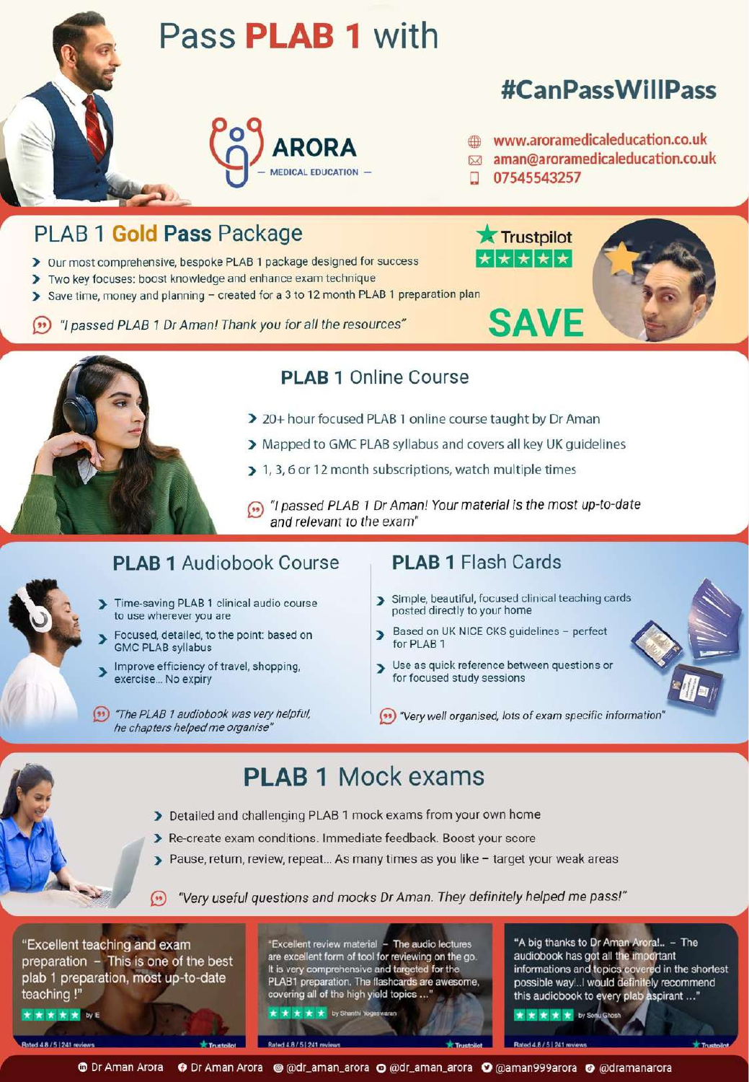



### **PLAB 1 Online Course**

- > 20+ hour focused PLAB 1 online course taught by Dr Aman
- > Mapped to GMC PLAB syllabus and covers all key UK quidelines
- > 1, 3, 6 or 12 month subscriptions, watch multiple times
- (n) "I passed PLAB 1 Dr Aman! Your material is the most up-to-date and relevant to the exam"

#### **PLAB 1 Audiobook Course**

- Time-saving PLAB 1 clinical audio course to use wherever you are
- Focused, detailed, to the point: based on **GMC PLAB syllabus**
- Improve efficiency of travel, shopping, exercise... No expiry
- (\*\*) "The PLAB 1 audiobook was very helpful, he chapters helped me organise'

- > Simple, beautiful, focused clinical teaching cards posted directly to your home
- Based on UK NICE CKS guidelines perfect S for PLAB 1
- > Use as quick reference between questions or for focused study sessions
- "Very well organised, lots of exam specific information"

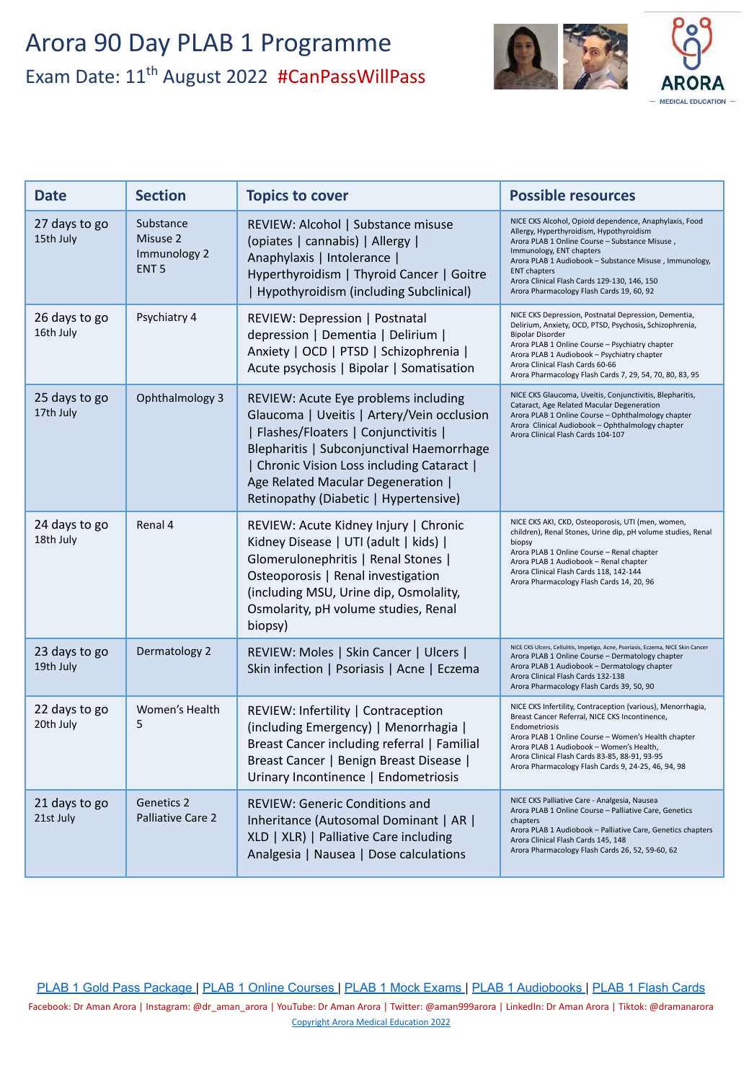

| <b>Date</b>                | <b>Section</b>                                            | <b>Topics to cover</b>                                                                                                                                                                                                                                                                                | <b>Possible resources</b>                                                                                                                                                                                                                                                                                                                                      |
|----------------------------|-----------------------------------------------------------|-------------------------------------------------------------------------------------------------------------------------------------------------------------------------------------------------------------------------------------------------------------------------------------------------------|----------------------------------------------------------------------------------------------------------------------------------------------------------------------------------------------------------------------------------------------------------------------------------------------------------------------------------------------------------------|
| 27 days to go<br>15th July | Substance<br>Misuse 2<br>Immunology 2<br>ENT <sub>5</sub> | REVIEW: Alcohol   Substance misuse<br>(opiates   cannabis)   Allergy  <br>Anaphylaxis   Intolerance  <br>Hyperthyroidism   Thyroid Cancer   Goitre<br>  Hypothyroidism (including Subclinical)                                                                                                        | NICE CKS Alcohol, Opioid dependence, Anaphylaxis, Food<br>Allergy, Hyperthyroidism, Hypothyroidism<br>Arora PLAB 1 Online Course - Substance Misuse,<br>Immunology, ENT chapters<br>Arora PLAB 1 Audiobook - Substance Misuse, Immunology,<br><b>ENT chapters</b><br>Arora Clinical Flash Cards 129-130, 146, 150<br>Arora Pharmacology Flash Cards 19, 60, 92 |
| 26 days to go<br>16th July | Psychiatry 4                                              | REVIEW: Depression   Postnatal<br>depression   Dementia   Delirium  <br>Anxiety   OCD   PTSD   Schizophrenia  <br>Acute psychosis   Bipolar   Somatisation                                                                                                                                            | NICE CKS Depression, Postnatal Depression, Dementia,<br>Delirium, Anxiety, OCD, PTSD, Psychosis, Schizophrenia,<br><b>Bipolar Disorder</b><br>Arora PLAB 1 Online Course - Psychiatry chapter<br>Arora PLAB 1 Audiobook - Psychiatry chapter<br>Arora Clinical Flash Cards 60-66<br>Arora Pharmacology Flash Cards 7, 29, 54, 70, 80, 83, 95                   |
| 25 days to go<br>17th July | Ophthalmology 3                                           | REVIEW: Acute Eye problems including<br>Glaucoma   Uveitis   Artery/Vein occlusion<br>  Flashes/Floaters   Conjunctivitis  <br>Blepharitis   Subconjunctival Haemorrhage<br>  Chronic Vision Loss including Cataract  <br>Age Related Macular Degeneration  <br>Retinopathy (Diabetic   Hypertensive) | NICE CKS Glaucoma, Uveitis, Conjunctivitis, Blepharitis,<br>Cataract, Age Related Macular Degeneration<br>Arora PLAB 1 Online Course - Ophthalmology chapter<br>Arora Clinical Audiobook - Ophthalmology chapter<br>Arora Clinical Flash Cards 104-107                                                                                                         |
| 24 days to go<br>18th July | Renal 4                                                   | REVIEW: Acute Kidney Injury   Chronic<br>Kidney Disease   UTI (adult   kids)  <br>Glomerulonephritis   Renal Stones  <br>Osteoporosis   Renal investigation<br>(including MSU, Urine dip, Osmolality,<br>Osmolarity, pH volume studies, Renal<br>biopsy)                                              | NICE CKS AKI, CKD, Osteoporosis, UTI (men, women,<br>children), Renal Stones, Urine dip, pH volume studies, Renal<br>biopsy<br>Arora PLAB 1 Online Course - Renal chapter<br>Arora PLAB 1 Audiobook - Renal chapter<br>Arora Clinical Flash Cards 118, 142-144<br>Arora Pharmacology Flash Cards 14, 20, 96                                                    |
| 23 days to go<br>19th July | Dermatology 2                                             | REVIEW: Moles   Skin Cancer   Ulcers  <br>Skin infection   Psoriasis   Acne   Eczema                                                                                                                                                                                                                  | NICE CKS Ulcers, Cellulitis, Impetigo, Acne, Psoriasis, Eczema, NICE Skin Cancer<br>Arora PLAB 1 Online Course - Dermatology chapter<br>Arora PLAB 1 Audiobook - Dermatology chapter<br>Arora Clinical Flash Cards 132-138<br>Arora Pharmacology Flash Cards 39, 50, 90                                                                                        |
| 22 days to go<br>20th July | Women's Health<br>5                                       | REVIEW: Infertility   Contraception<br>(including Emergency)   Menorrhagia  <br>Breast Cancer including referral   Familial<br>Breast Cancer   Benign Breast Disease  <br>Urinary Incontinence   Endometriosis                                                                                        | NICE CKS Infertility, Contraception (various), Menorrhagia,<br>Breast Cancer Referral, NICE CKS Incontinence,<br>Endometriosis<br>Arora PLAB 1 Online Course - Women's Health chapter<br>Arora PLAB 1 Audiobook - Women's Health.<br>Arora Clinical Flash Cards 83-85, 88-91, 93-95<br>Arora Pharmacology Flash Cards 9, 24-25, 46, 94, 98                     |
| 21 days to go<br>21st July | Genetics 2<br>Palliative Care 2                           | <b>REVIEW: Generic Conditions and</b><br>Inheritance (Autosomal Dominant   AR  <br>XLD   XLR)   Palliative Care including<br>Analgesia   Nausea   Dose calculations                                                                                                                                   | NICE CKS Palliative Care - Analgesia, Nausea<br>Arora PLAB 1 Online Course - Palliative Care, Genetics<br>chapters<br>Arora PLAB 1 Audiobook - Palliative Care, Genetics chapters<br>Arora Clinical Flash Cards 145, 148<br>Arora Pharmacology Flash Cards 26, 52, 59-60, 62                                                                                   |

[PLAB 1 Gold Pass Package](https://aroramedicaleducation.co.uk/plab-1-gold-pass-package/) | [PLAB 1 Online Courses](https://aroramedicaleducation.co.uk/plab-1-online-course/) | [PLAB 1 Mock Exams](https://aroramedicaleducation.co.uk/mock-exam/plab1-mock-exams/) | [PLAB 1 Audiobooks](https://aroramedicaleducation.co.uk/plab-1-audiobook/) | [PLAB 1 Flash Cards](https://aroramedicaleducation.co.uk/arora-medical-flash-cards/)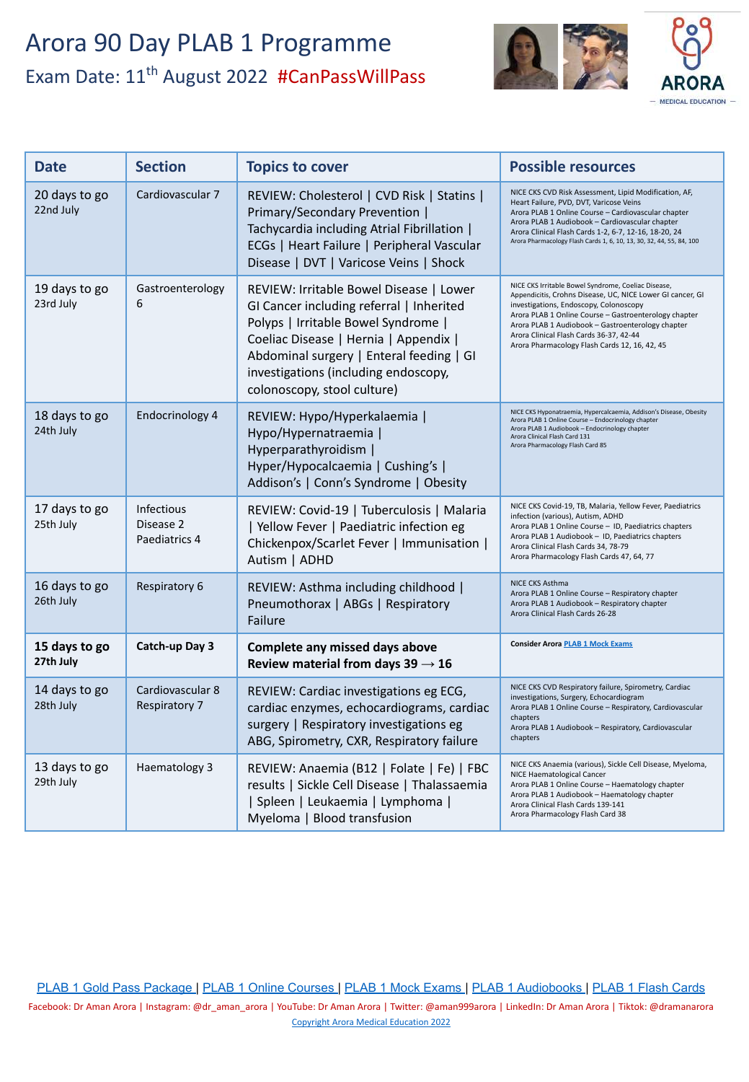

| <b>Date</b>                | <b>Section</b>                                  | <b>Topics to cover</b>                                                                                                                                                                                                                                                                 | <b>Possible resources</b>                                                                                                                                                                                                                                                                                                                                             |
|----------------------------|-------------------------------------------------|----------------------------------------------------------------------------------------------------------------------------------------------------------------------------------------------------------------------------------------------------------------------------------------|-----------------------------------------------------------------------------------------------------------------------------------------------------------------------------------------------------------------------------------------------------------------------------------------------------------------------------------------------------------------------|
| 20 days to go<br>22nd July | Cardiovascular 7                                | REVIEW: Cholesterol   CVD Risk   Statins  <br>Primary/Secondary Prevention  <br>Tachycardia including Atrial Fibrillation  <br>ECGs   Heart Failure   Peripheral Vascular<br>Disease   DVT   Varicose Veins   Shock                                                                    | NICE CKS CVD Risk Assessment, Lipid Modification, AF,<br>Heart Failure, PVD, DVT, Varicose Veins<br>Arora PLAB 1 Online Course - Cardiovascular chapter<br>Arora PLAB 1 Audiobook - Cardiovascular chapter<br>Arora Clinical Flash Cards 1-2, 6-7, 12-16, 18-20, 24<br>Arora Pharmacology Flash Cards 1, 6, 10, 13, 30, 32, 44, 55, 84, 100                           |
| 19 days to go<br>23rd July | Gastroenterology<br>6                           | REVIEW: Irritable Bowel Disease   Lower<br>GI Cancer including referral   Inherited<br>Polyps   Irritable Bowel Syndrome  <br>Coeliac Disease   Hernia   Appendix  <br>Abdominal surgery   Enteral feeding   GI<br>investigations (including endoscopy,<br>colonoscopy, stool culture) | NICE CKS Irritable Bowel Syndrome, Coeliac Disease,<br>Appendicitis, Crohns Disease, UC, NICE Lower GI cancer, GI<br>investigations, Endoscopy, Colonoscopy<br>Arora PLAB 1 Online Course - Gastroenterology chapter<br>Arora PLAB 1 Audiobook - Gastroenterology chapter<br>Arora Clinical Flash Cards 36-37, 42-44<br>Arora Pharmacology Flash Cards 12, 16, 42, 45 |
| 18 days to go<br>24th July | Endocrinology 4                                 | REVIEW: Hypo/Hyperkalaemia  <br>Hypo/Hypernatraemia  <br>Hyperparathyroidism  <br>Hyper/Hypocalcaemia   Cushing's  <br>Addison's   Conn's Syndrome   Obesity                                                                                                                           | NICE CKS Hyponatraemia, Hypercalcaemia, Addison's Disease, Obesity<br>Arora PLAB 1 Online Course - Endocrinology chapter<br>Arora PLAB 1 Audiobook - Endocrinology chapter<br>Arora Clinical Flash Card 131<br>Arora Pharmacology Flash Card 85                                                                                                                       |
| 17 days to go<br>25th July | <b>Infectious</b><br>Disease 2<br>Paediatrics 4 | REVIEW: Covid-19   Tuberculosis   Malaria<br>  Yellow Fever   Paediatric infection eg<br>Chickenpox/Scarlet Fever   Immunisation  <br>Autism   ADHD                                                                                                                                    | NICE CKS Covid-19, TB, Malaria, Yellow Fever, Paediatrics<br>infection (various), Autism, ADHD<br>Arora PLAB 1 Online Course - ID, Paediatrics chapters<br>Arora PLAB 1 Audiobook - ID, Paediatrics chapters<br>Arora Clinical Flash Cards 34, 78-79<br>Arora Pharmacology Flash Cards 47, 64, 77                                                                     |
| 16 days to go<br>26th July | Respiratory 6                                   | REVIEW: Asthma including childhood  <br>Pneumothorax   ABGs   Respiratory<br>Failure                                                                                                                                                                                                   | NICE CKS Asthma<br>Arora PLAB 1 Online Course - Respiratory chapter<br>Arora PLAB 1 Audiobook - Respiratory chapter<br>Arora Clinical Flash Cards 26-28                                                                                                                                                                                                               |
| 15 days to go<br>27th July | Catch-up Day 3                                  | Complete any missed days above<br>Review material from days $39 \rightarrow 16$                                                                                                                                                                                                        | <b>Consider Arora PLAB 1 Mock Exams</b>                                                                                                                                                                                                                                                                                                                               |
| 14 days to go<br>28th July | Cardiovascular 8<br>Respiratory 7               | REVIEW: Cardiac investigations eg ECG,<br>cardiac enzymes, echocardiograms, cardiac<br>surgery   Respiratory investigations eg<br>ABG, Spirometry, CXR, Respiratory failure                                                                                                            | NICE CKS CVD Respiratory failure, Spirometry, Cardiac<br>investigations, Surgery, Echocardiogram<br>Arora PLAB 1 Online Course - Respiratory, Cardiovascular<br>chapters<br>Arora PLAB 1 Audiobook - Respiratory, Cardiovascular<br>chapters                                                                                                                          |
| 13 days to go<br>29th July | Haematology 3                                   | REVIEW: Anaemia (B12   Folate   Fe)   FBC<br>results   Sickle Cell Disease   Thalassaemia<br>  Spleen   Leukaemia   Lymphoma  <br>Myeloma   Blood transfusion                                                                                                                          | NICE CKS Anaemia (various), Sickle Cell Disease, Myeloma,<br>NICE Haematological Cancer<br>Arora PLAB 1 Online Course - Haematology chapter<br>Arora PLAB 1 Audiobook - Haematology chapter<br>Arora Clinical Flash Cards 139-141<br>Arora Pharmacology Flash Card 38                                                                                                 |

[PLAB 1 Gold Pass Package](https://aroramedicaleducation.co.uk/plab-1-gold-pass-package/) | [PLAB 1 Online Courses](https://aroramedicaleducation.co.uk/plab-1-online-course/) | [PLAB 1 Mock Exams](https://aroramedicaleducation.co.uk/mock-exam/plab1-mock-exams/) | [PLAB 1 Audiobooks](https://aroramedicaleducation.co.uk/plab-1-audiobook/) | [PLAB 1 Flash Cards](https://aroramedicaleducation.co.uk/arora-medical-flash-cards/)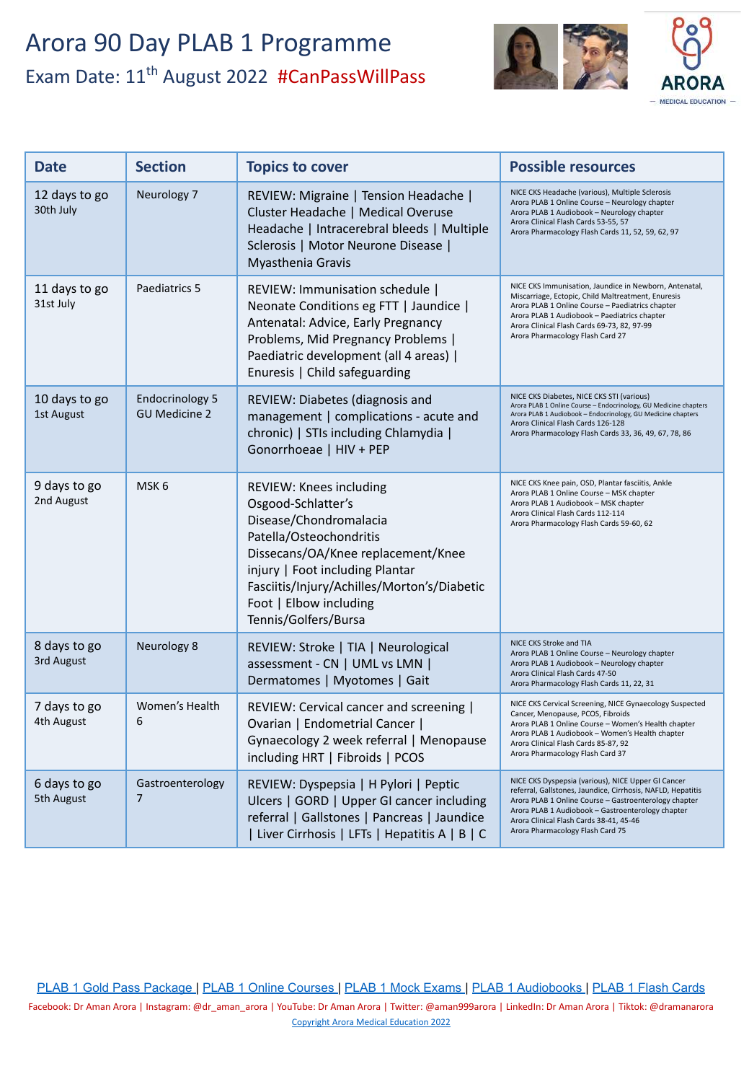

| <b>Date</b>                 | <b>Section</b>                                 | <b>Topics to cover</b>                                                                                                                                                                                                                                                       | <b>Possible resources</b>                                                                                                                                                                                                                                                                                      |
|-----------------------------|------------------------------------------------|------------------------------------------------------------------------------------------------------------------------------------------------------------------------------------------------------------------------------------------------------------------------------|----------------------------------------------------------------------------------------------------------------------------------------------------------------------------------------------------------------------------------------------------------------------------------------------------------------|
| 12 days to go<br>30th July  | Neurology 7                                    | REVIEW: Migraine   Tension Headache  <br>Cluster Headache   Medical Overuse<br>Headache   Intracerebral bleeds   Multiple<br>Sclerosis   Motor Neurone Disease  <br>Myasthenia Gravis                                                                                        | NICE CKS Headache (various), Multiple Sclerosis<br>Arora PLAB 1 Online Course - Neurology chapter<br>Arora PLAB 1 Audiobook - Neurology chapter<br>Arora Clinical Flash Cards 53-55, 57<br>Arora Pharmacology Flash Cards 11, 52, 59, 62, 97                                                                   |
| 11 days to go<br>31st July  | Paediatrics 5                                  | REVIEW: Immunisation schedule  <br>Neonate Conditions eg FTT   Jaundice  <br>Antenatal: Advice, Early Pregnancy<br>Problems, Mid Pregnancy Problems  <br>Paediatric development (all 4 areas)  <br>Enuresis   Child safeguarding                                             | NICE CKS Immunisation, Jaundice in Newborn, Antenatal,<br>Miscarriage, Ectopic, Child Maltreatment, Enuresis<br>Arora PLAB 1 Online Course - Paediatrics chapter<br>Arora PLAB 1 Audiobook - Paediatrics chapter<br>Arora Clinical Flash Cards 69-73, 82, 97-99<br>Arora Pharmacology Flash Card 27            |
| 10 days to go<br>1st August | <b>Endocrinology 5</b><br><b>GU Medicine 2</b> | REVIEW: Diabetes (diagnosis and<br>management   complications - acute and<br>chronic)   STIs including Chlamydia  <br>Gonorrhoeae   HIV + PEP                                                                                                                                | NICE CKS Diabetes, NICE CKS STI (various)<br>Arora PLAB 1 Online Course - Endocrinology, GU Medicine chapters<br>Arora PLAB 1 Audiobook - Endocrinology, GU Medicine chapters<br>Arora Clinical Flash Cards 126-128<br>Arora Pharmacology Flash Cards 33, 36, 49, 67, 78, 86                                   |
| 9 days to go<br>2nd August  | MSK <sub>6</sub>                               | REVIEW: Knees including<br>Osgood-Schlatter's<br>Disease/Chondromalacia<br>Patella/Osteochondritis<br>Dissecans/OA/Knee replacement/Knee<br>injury   Foot including Plantar<br>Fasciitis/Injury/Achilles/Morton's/Diabetic<br>Foot   Elbow including<br>Tennis/Golfers/Bursa | NICE CKS Knee pain, OSD, Plantar fasciitis, Ankle<br>Arora PLAB 1 Online Course - MSK chapter<br>Arora PLAB 1 Audiobook - MSK chapter<br>Arora Clinical Flash Cards 112-114<br>Arora Pharmacology Flash Cards 59-60, 62                                                                                        |
| 8 days to go<br>3rd August  | Neurology 8                                    | REVIEW: Stroke   TIA   Neurological<br>assessment - CN   UML vs LMN  <br>Dermatomes   Myotomes   Gait                                                                                                                                                                        | NICE CKS Stroke and TIA<br>Arora PLAB 1 Online Course - Neurology chapter<br>Arora PLAB 1 Audiobook - Neurology chapter<br>Arora Clinical Flash Cards 47-50<br>Arora Pharmacology Flash Cards 11, 22, 31                                                                                                       |
| 7 days to go<br>4th August  | Women's Health<br>6                            | REVIEW: Cervical cancer and screening  <br>Ovarian   Endometrial Cancer  <br>Gynaecology 2 week referral   Menopause<br>including HRT   Fibroids   PCOS                                                                                                                      | NICE CKS Cervical Screening, NICE Gynaecology Suspected<br>Cancer, Menopause, PCOS, Fibroids<br>Arora PLAB 1 Online Course - Women's Health chapter<br>Arora PLAB 1 Audiobook - Women's Health chapter<br>Arora Clinical Flash Cards 85-87, 92<br>Arora Pharmacology Flash Card 37                             |
| 6 days to go<br>5th August  | Gastroenterology<br>7                          | REVIEW: Dyspepsia   H Pylori   Peptic<br>Ulcers   GORD   Upper GI cancer including<br>referral   Gallstones   Pancreas   Jaundice<br>  Liver Cirrhosis   LFTs   Hepatitis A   B   C                                                                                          | NICE CKS Dyspepsia (various), NICE Upper GI Cancer<br>referral, Gallstones, Jaundice, Cirrhosis, NAFLD, Hepatitis<br>Arora PLAB 1 Online Course - Gastroenterology chapter<br>Arora PLAB 1 Audiobook - Gastroenterology chapter<br>Arora Clinical Flash Cards 38-41, 45-46<br>Arora Pharmacology Flash Card 75 |

[PLAB 1 Gold Pass Package](https://aroramedicaleducation.co.uk/plab-1-gold-pass-package/) | [PLAB 1 Online Courses](https://aroramedicaleducation.co.uk/plab-1-online-course/) | [PLAB 1 Mock Exams](https://aroramedicaleducation.co.uk/mock-exam/plab1-mock-exams/) | [PLAB 1 Audiobooks](https://aroramedicaleducation.co.uk/plab-1-audiobook/) | [PLAB 1 Flash Cards](https://aroramedicaleducation.co.uk/arora-medical-flash-cards/)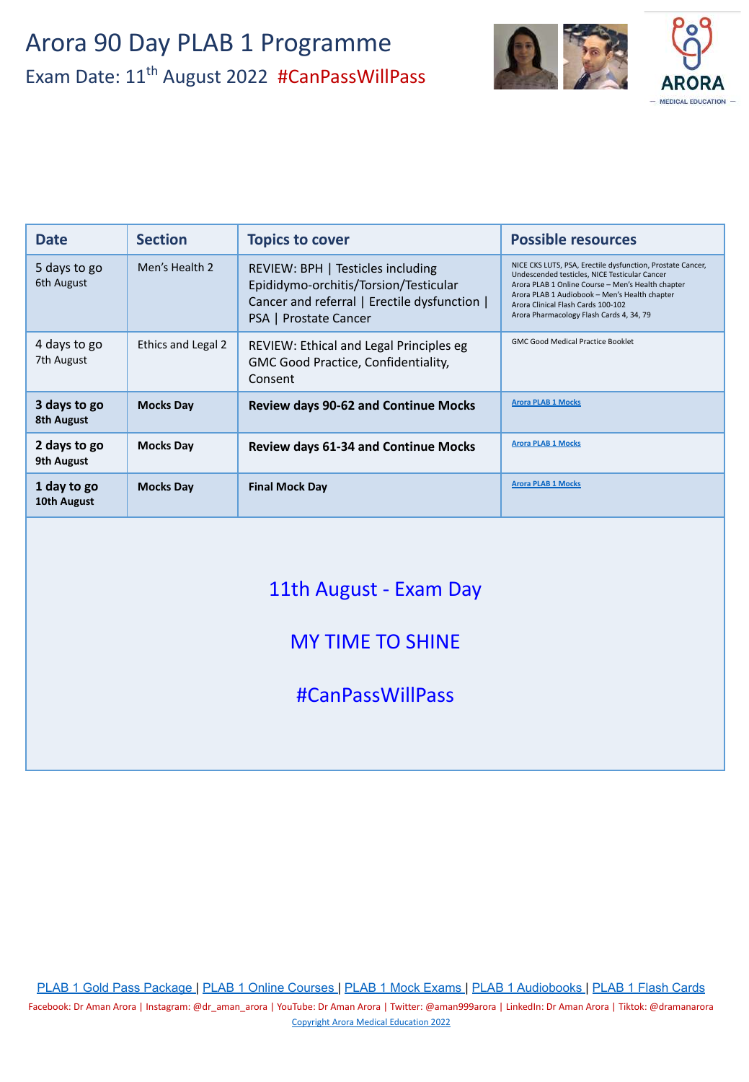

| <b>Date</b>                | <b>Section</b>     | <b>Topics to cover</b>                                                                                                                              | <b>Possible resources</b>                                                                                                                                                                                                                                                                           |
|----------------------------|--------------------|-----------------------------------------------------------------------------------------------------------------------------------------------------|-----------------------------------------------------------------------------------------------------------------------------------------------------------------------------------------------------------------------------------------------------------------------------------------------------|
| 5 days to go<br>6th August | Men's Health 2     | REVIEW: BPH   Testicles including<br>Epididymo-orchitis/Torsion/Testicular<br>Cancer and referral   Erectile dysfunction  <br>PSA   Prostate Cancer | NICE CKS LUTS, PSA, Erectile dysfunction, Prostate Cancer,<br>Undescended testicles, NICE Testicular Cancer<br>Arora PLAB 1 Online Course - Men's Health chapter<br>Arora PLAB 1 Audiobook - Men's Health chapter<br>Arora Clinical Flash Cards 100-102<br>Arora Pharmacology Flash Cards 4, 34, 79 |
| 4 days to go<br>7th August | Ethics and Legal 2 | REVIEW: Ethical and Legal Principles eg<br>GMC Good Practice, Confidentiality,<br>Consent                                                           | <b>GMC Good Medical Practice Booklet</b>                                                                                                                                                                                                                                                            |
| 3 days to go<br>8th August | <b>Mocks Day</b>   | <b>Review days 90-62 and Continue Mocks</b>                                                                                                         | <b>Arora PLAB 1 Mocks</b>                                                                                                                                                                                                                                                                           |
| 2 days to go<br>9th August | <b>Mocks Day</b>   | <b>Review days 61-34 and Continue Mocks</b>                                                                                                         | <b>Arora PLAB 1 Mocks</b>                                                                                                                                                                                                                                                                           |
| 1 day to go<br>10th August | <b>Mocks Day</b>   | <b>Final Mock Day</b>                                                                                                                               | <b>Arora PLAB 1 Mocks</b>                                                                                                                                                                                                                                                                           |

### 11th August - Exam Day

### MY TIME TO SHINE

#CanPassWillPass

[PLAB 1 Gold Pass Package](https://aroramedicaleducation.co.uk/plab-1-gold-pass-package/) | [PLAB 1 Online Courses](https://aroramedicaleducation.co.uk/plab-1-online-course/) | [PLAB 1 Mock Exams](https://aroramedicaleducation.co.uk/mock-exam/plab1-mock-exams/) | [PLAB 1 Audiobooks](https://aroramedicaleducation.co.uk/plab-1-audiobook/) | [PLAB 1 Flash Cards](https://aroramedicaleducation.co.uk/arora-medical-flash-cards/)